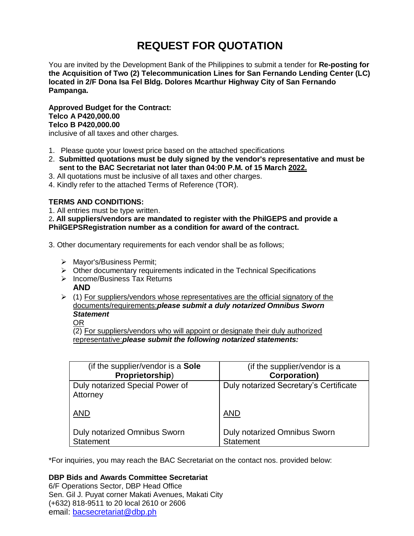# **REQUEST FOR QUOTATION**

You are invited by the Development Bank of the Philippines to submit a tender for **Re-posting for the Acquisition of Two (2) Telecommunication Lines for San Fernando Lending Center (LC) located in 2/F Dona Isa Fel Bldg. Dolores Mcarthur Highway City of San Fernando Pampanga.**

**Approved Budget for the Contract: Telco A P420,000.00 Telco B P420,000.00** inclusive of all taxes and other charges.

- 1. Please quote your lowest price based on the attached specifications
- 2. **Submitted quotations must be duly signed by the vendor's representative and must be sent to the BAC Secretariat not later than 04:00 P.M. of 15 March 2022.**
- 3. All quotations must be inclusive of all taxes and other charges.
- 4. Kindly refer to the attached Terms of Reference (TOR).

# **TERMS AND CONDITIONS:**

1. All entries must be type written.

2**. All suppliers/vendors are mandated to register with the PhilGEPS and provide a PhilGEPSRegistration number as a condition for award of the contract.**

3. Other documentary requirements for each vendor shall be as follows;

- > Mayor's/Business Permit;
- $\triangleright$  Other documentary requirements indicated in the Technical Specifications
- $\triangleright$  Income/Business Tax Returns
- **AND**
- $\triangleright$  (1) For suppliers/vendors whose representatives are the official signatory of the documents/requirements:*please submit a duly notarized Omnibus Sworn Statement*

OR

(2) For suppliers/vendors who will appoint or designate their duly authorized representative:*please submit the following notarized statements:*

| (if the supplier/vendor is a Sole           | (if the supplier/vendor is a           |
|---------------------------------------------|----------------------------------------|
| Proprietorship)                             | <b>Corporation)</b>                    |
| Duly notarized Special Power of<br>Attorney | Duly notarized Secretary's Certificate |
| <b>AND</b>                                  | <b>AND</b>                             |
| Duly notarized Omnibus Sworn                | <b>Duly notarized Omnibus Sworn</b>    |
| Statement                                   | <b>Statement</b>                       |

\*For inquiries, you may reach the BAC Secretariat on the contact nos. provided below:

**DBP Bids and Awards Committee Secretariat** 

6/F Operations Sector, DBP Head Office Sen. Gil J. Puyat corner Makati Avenues, Makati City (+632) 818-9511 to 20 local 2610 or 2606 email: [bacsecretariat@dbp.ph](mailto:bacsecretariat@dbp.ph)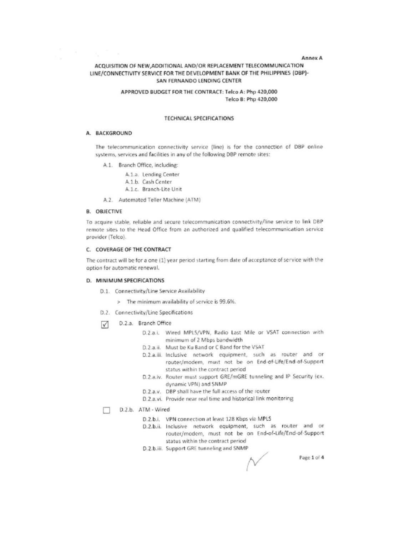### Annex A

# ACQUISITION OF NEW, ADDITIONAL AND/OR REPLACEMENT TELECOMMUNICATION LINE/CONNECTIVITY SERVICE FOR THE DEVELOPMENT BANK OF THE PHILIPPINES (DBP)-SAN FERNANDO LENDING CENTER

### APPROVED BUDGET FOR THE CONTRACT: Telco A: Php 420,000 Telco B: Php 420,000

### **TECHNICAL SPECIFICATIONS**

### A. BACKGROUND

 $\tau_{\rm g}=-\tau$ 

 $\alpha$ 

The telecommunication connectivity service (line) is for the connection of DBP online systems, services and facilities in any of the following DBP remote sites:

A.1. Branch Office, including:

A.1.a. Lending Center A.1.b. Cash Center A.1.c. Branch-Lite Unit

A.2. Automated Teller Machine (ATM)

### **B. OBJECTIVE**

To acquire stable, reliable and secure telecommunication connectivity/line service to link DBP remote sites to the Head Office from an authorized and qualified telecommunication service provider (Telco).

# C. COVERAGE OF THE CONTRACT

The contract will be for a one (1) year period starting from date of acceptance of service with the option for automatic renewal.

### D. MINIMUM SPECIFICATIONS

- D.1. Connectivity/Line Service Availability
	- > The minimum availability of service is 99.6%.
- D.2. Connectivity/Line Specifications
- D.2.a. Branch Office  $\sqrt{ }$ 
	- D.2.a.i. Wired MPLS/VPN, Radio Last Mile or VSAT connection with minimum of 2 Mbps bandwidth
	- D.2.a.ii. Must be Ku Band or C Band for the VSAT
	- D.2.a.iii. Inclusive network equipment, such as router and or router/modem, must not be on End-of-Life/End-of-Support status within the contract period
	- D.2.a.iv. Router must support GRE/mGRE tunneling and IP Security (ex. dynamic VPN) and SNMP
	- D.2.a.v. DBP shall have the full access of the router
	- D.2.a.vi. Provide near real time and historical link monitoring

#### D.2.b. ATM - Wired П

- D.2.b.i. VPN connection at least 128 Kbps via MPLS
- D.2.b.ii. Inclusive network equipment, such as router and or router/modem, must not be on End-of-Life/End-of-Support status within the contract period
- D.2.b.iii. Support GRE tunneling and SNMP

Page 1 of 4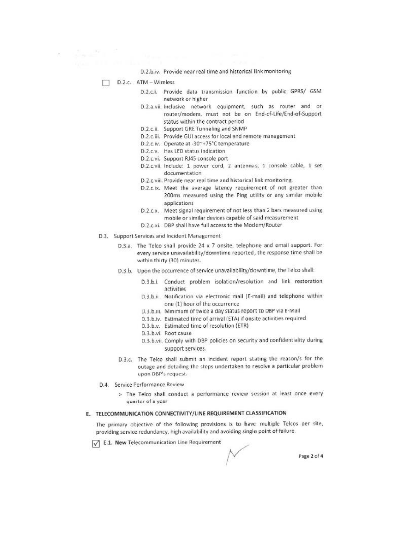D.2.b.iv. Provide near real time and historical link monitoring

D.2.c. ATM - Wireless

 $\label{eq:2.1} \mathcal{E} = -\frac{\sum_{\mathbf{p}\in\mathcal{P}}\mathcal{M}_{\mathbf{p}}}{\sum_{\mathbf{p}\in\mathcal{P}}\mathcal{M}_{\mathbf{p}}}\mathbb{I}^{\mathbf{p}}\mathbb{I}^{\mathbf{p}}$ 

- D.2.c.i. Provide data transmission function by public GPRS/ GSM network or higher
- D.2.a.vii. Inclusive network equipment, such as router and or router/modem, must not be on End-of-Life/End-of-Support status within the contract period
- D.2.c.ii. Support GRE Tunneling and SNMP
- D.2.c.iii. Provide GUI access for local and remote management
- D.2.c.iv. Operate at -30"+75°C temperature
- D.2.c.v. Has LED status indication
- D.2.c.vi. Support RJ45 console port
- D.2.c.vii. Include: 1 power cord, 2 antennas, 1 console cable, 1 set documentation
- D.2.c.viii. Provide near real time and historical link monitoring.
- D.2.c.ix. Meet the average latency requirement of not greater than 200ms measured using the Ping utility or any similar mobile applications
- D.2.c.x. Meet signal requirement of not less than 2 bars measured using mobile or similar devices capable of said measurement
- D.2.c.xi. DBP shall have full access to the Modem/Router
- D.3. Support Services and Incident Management
	- D.3.a. The Telco shall provide 24 x 7 onsite, telephone and email support. For every service unavailability/downtime reported, the response time shall be within thirty (30) minutes.
	- D.3.b. Upon the occurrence of service unavailability/downtime, the Telco shall:
		- D.3.b.i. Conduct problem isolation/resolution and link restoration activities
		- D.3.b.ii. Notification via electronic mail (E-mail) and telephone within one (1) hour of the occurrence
		- D. 3. b.m. Minimum of twice a day status report to DBP via E-Mail
		- D.3.b.iv. Estimated time of arrival (ETA) if onsite activities required
		- D.3.b.v. Estimated time of resolution (ETR)
		- D.3.b.vi. Root cause
		- D.3.b.vii. Comply with DBP policies on security and confidentiality during support services.
	- D.3.c. The Telco shall submit an incident report stating the reason/s for the outage and detailing the steps undertaken to resolve a particular problem upon DBP's request.
- D.4. Service Performance Review
	- > The Telco shall conduct a performance review session at least once every quarter of a year

# E. TELECOMMUNICATION CONNECTIVITY/LINE REQUIREMENT CLASSIFICATION

The primary objective of the following provisions is to have multiple Telcos per site, providing service redundancy, high availability and avoiding single point of failure.

E.1. New Telecommunication Line Requirement

Page 2 of 4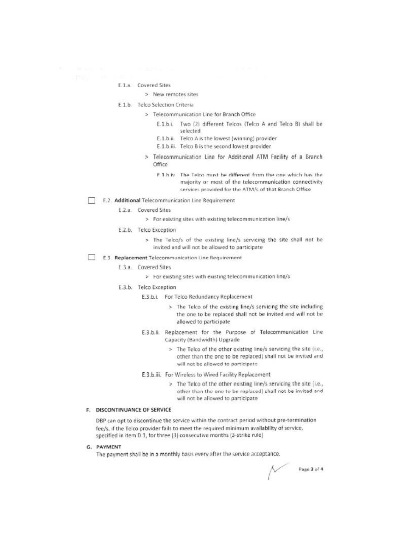# E.1.a. Covered Sites

# > New remotes sites

### E.1.b. Telco Selection Criteria

- > Telecommunication Line for Branch Office
	- E.1.b.i. Two (2) different Telcos (Telco A and Telco B) shall be selected
	- E.1.b.ii. Telco A is the lowest (winning) provider
	- E.1.b.iii. Telco B is the second lowest provider
- > Telecommunication Line for Additional ATM Facility of a Branch Office
	- F 1 h iv The Telco must be different from the one which has the majority or most of the telecommunication connectivity services provided for the ATM/s of that Branch Office
- E.2. Additional Telecommunication Line Requirement
	- E.2.a. Covered Sites
		- > For existing sites with existing telecommunication line/s
	- E.2.b. Telco Exception
		- > The Telco/s of the existing line/s servicing the site shall not be invited and will not be allowed to participate
- E.3. Replacement Telecommunication Line Requirement

### E.3.a. Covered Sites

- > For existing sites with existing telecommunication line/s
- E.3.b. Telco Exception
	- E.3.b.i. For Telco Redundancy Replacement
		- > The Telco of the existing line/s servicing the site including the one to be replaced shall not be invited and will not be allowed to participate
	- E.3.b.ii. Replacement for the Purpose of Telecommunication Line Capacity (Bandwidth) Upgrade
		- > The Telco of the other existing line/s servicing the site (i.e., other than the one to be replaced) shall not be invited and will not be allowed to participate
	- E.3.b.iii. For Wireless to Wired Facility Replacement
		- > The Telco of the other existing line/s servicing the site (i.e., other than the one to be replaced) shall not be invited and will not be allowed to participate

# F. DISCONTINUANCE OF SERVICE

DBP can opt to discontinue the service within the contract period without pre-termination fee/s, if the Telco provider fails to meet the required minimum availability of service, specified in item D.1, for three [3] consecutive months (3-strike rule)

G. PAYMENT

The payment shall be in a monthly basis every after the service acceptance.

Page 3 of 4